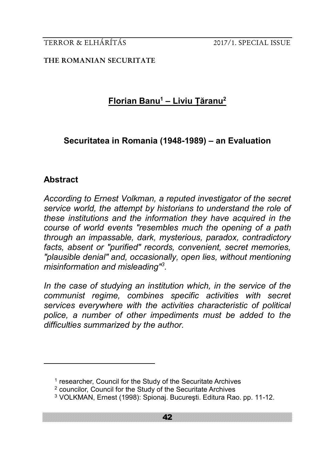**THE ROMANIAN SECURITATE**

# **Florian Banu<sup>1</sup> – Liviu Țăranu<sup>2</sup>**

# **Securitatea in Romania (1948-1989) – an Evaluation**

# **Abstract**

<u>.</u>

*According to Ernest Volkman, a reputed investigator of the secret service world, the attempt by historians to understand the role of these institutions and the information they have acquired in the course of world events "resembles much the opening of a path through an impassable, dark, mysterious, paradox, contradictory facts, absent or "purified" records, convenient, secret memories, "plausible denial" and, occasionally, open lies, without mentioning misinformation and misleading"<sup>3</sup> .*

In the case of studying an institution which, in the service of the *communist regime, combines specific activities with secret services everywhere with the activities characteristic of political police, a number of other impediments must be added to the difficulties summarized by the author.*

<sup>&</sup>lt;sup>1</sup> researcher, Council for the Study of the Securitate Archives

<sup>2</sup> councilor, Council for the Study of the Securitate Archives

<sup>3</sup> VOLKMAN, Ernest (1998): Spionaj. Bucureşti. Editura Rao. pp. 11-12.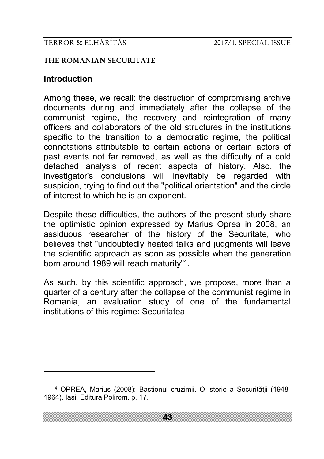#### **THE ROMANIAN SECURITATE**

# **Introduction**

-

Among these, we recall: the destruction of compromising archive documents during and immediately after the collapse of the communist regime, the recovery and reintegration of many officers and collaborators of the old structures in the institutions specific to the transition to a democratic regime, the political connotations attributable to certain actions or certain actors of past events not far removed, as well as the difficulty of a cold detached analysis of recent aspects of history. Also, the investigator's conclusions will inevitably be regarded with suspicion, trying to find out the "political orientation" and the circle of interest to which he is an exponent.

Despite these difficulties, the authors of the present study share the optimistic opinion expressed by Marius Oprea in 2008, an assiduous researcher of the history of the Securitate, who believes that "undoubtedly heated talks and judgments will leave the scientific approach as soon as possible when the generation born around 1989 will reach maturity"<sup>4</sup> .

As such, by this scientific approach, we propose, more than a quarter of a century after the collapse of the communist regime in Romania, an evaluation study of one of the fundamental institutions of this regime: Securitatea.

<sup>&</sup>lt;sup>4</sup> OPREA, Marius (2008): Bastionul cruzimii. O istorie a Securității (1948-1964). Iaşi, Editura Polirom. p. 17.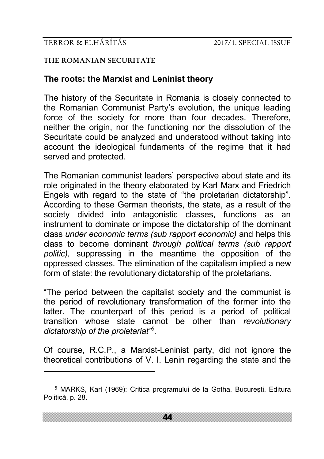-

#### **THE ROMANIAN SECURITATE**

# **The roots: the Marxist and Leninist theory**

The history of the Securitate in Romania is closely connected to the Romanian Communist Party's evolution, the unique leading force of the society for more than four decades. Therefore, neither the origin, nor the functioning nor the dissolution of the Securitate could be analyzed and understood without taking into account the ideological fundaments of the regime that it had served and protected.

The Romanian communist leaders' perspective about state and its role originated in the theory elaborated by Karl Marx and Friedrich Engels with regard to the state of "the proletarian dictatorship". According to these German theorists, the state, as a result of the society divided into antagonistic classes, functions as an instrument to dominate or impose the dictatorship of the dominant class *under economic terms (sub rapport economic)* and helps this class to become dominant *through political terms (sub rapport politic),* suppressing in the meantime the opposition of the oppressed classes. The elimination of the capitalism implied a new form of state: the revolutionary dictatorship of the proletarians.

"The period between the capitalist society and the communist is the period of revolutionary transformation of the former into the latter. The counterpart of this period is a period of political transition whose state cannot be other than *revolutionary dictatorship of the proletariat"<sup>5</sup> .*

Of course, R.C.P., a Marxist-Leninist party, did not ignore the theoretical contributions of V. I. Lenin regarding the state and the

<sup>5</sup> MARKS, Karl (1969): Critica programului de la Gotha. Bucureşti. Editura Politică. p. 28.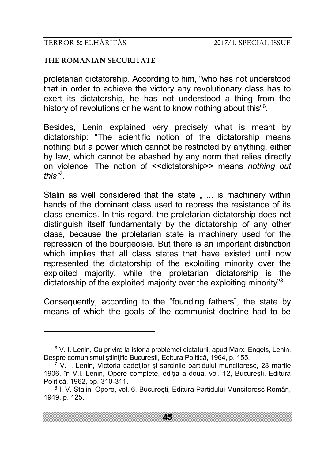-

#### **THE ROMANIAN SECURITATE**

proletarian dictatorship. According to him, "who has not understood that in order to achieve the victory any revolutionary class has to exert its dictatorship, he has not understood a thing from the history of revolutions or he want to know nothing about this"<sup>6</sup>.

Besides, Lenin explained very precisely what is meant by dictatorship: "The scientific notion of the dictatorship means nothing but a power which cannot be restricted by anything, either by law, which cannot be abashed by any norm that relies directly on violence. The notion of <<dictatorship>> means *nothing but this"<sup>7</sup> .*

Stalin as well considered that the state ... is machinery within hands of the dominant class used to repress the resistance of its class enemies. In this regard, the proletarian dictatorship does not distinguish itself fundamentally by the dictatorship of any other class, because the proletarian state is machinery used for the repression of the bourgeoisie. But there is an important distinction which implies that all class states that have existed until now represented the dictatorship of the exploiting minority over the exploited majority, while the proletarian dictatorship is the dictatorship of the exploited majority over the exploiting minority"<sup>8</sup>.

Consequently, according to the "founding fathers", the state by means of which the goals of the communist doctrine had to be

<sup>6</sup> V. I. Lenin, Cu privire la istoria problemei dictaturii, apud Marx, Engels, Lenin, Despre comunismul stiintific București, Editura Politică, 1964, p. 155.

 $7$  V. I. Lenin, Victoria cadetilor și sarcinile partidului muncitoresc, 28 martie 1906, în V.I. Lenin, Opere complete, ediţia a doua, vol. 12, Bucureşti, Editura Politică, 1962, pp. 310-311.

<sup>8</sup> I. V. Stalin, Opere, vol. 6, Bucureşti, Editura Partidului Muncitoresc Român, 1949, p. 125.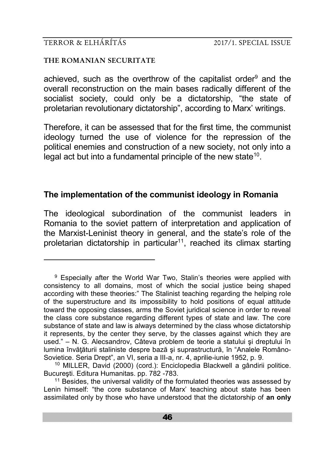-

#### **THE ROMANIAN SECURITATE**

achieved, such as the overthrow of the capitalist order<sup>9</sup> and the overall reconstruction on the main bases radically different of the socialist society, could only be a dictatorship, "the state of proletarian revolutionary dictatorship", according to Marx' writings.

Therefore, it can be assessed that for the first time, the communist ideology turned the use of violence for the repression of the political enemies and construction of a new society, not only into a legal act but into a fundamental principle of the new state<sup>10</sup>.

# **The implementation of the communist ideology in Romania**

The ideological subordination of the communist leaders in Romania to the soviet pattern of interpretation and application of the Marxist-Leninist theory in general, and the state's role of the proletarian dictatorship in particular<sup>11</sup>, reached its climax starting

<sup>&</sup>lt;sup>9</sup> Especially after the World War Two, Stalin's theories were applied with consistency to all domains, most of which the social justice being shaped according with these theories:" The Stalinist teaching regarding the helping role of the superstructure and its impossibility to hold positions of equal attitude toward the opposing classes, arms the Soviet juridical science in order to reveal the class core substance regarding different types of state and law. The core substance of state and law is always determined by the class whose dictatorship it represents, by the center they serve, by the classes against which they are used." – N. G. Alecsandrov, Câteva problem de teorie a statului şi dreptului în lumina învătăturii staliniste despre bază și suprastructură, în "Analele Româno-Sovietice. Seria Drept", an VI, seria a III-a, nr. 4, aprilie-iunie 1952, p. 9.

<sup>10</sup> MILLER, David (2000) (cord.): Enciclopedia Blackwell a gândirii politice. Bucureşti. Editura Humanitas. pp. 782 -783.

<sup>&</sup>lt;sup>11</sup> Besides, the universal validity of the formulated theories was assessed by Lenin himself: "the core substance of Marx' teaching about state has been assimilated only by those who have understood that the dictatorship of **an only**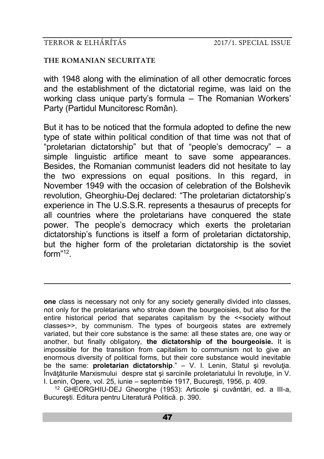-

#### **THE ROMANIAN SECURITATE**

with 1948 along with the elimination of all other democratic forces and the establishment of the dictatorial regime, was laid on the working class unique party's formula – The Romanian Workers' Party (Partidul Muncitoresc Român).

But it has to be noticed that the formula adopted to define the new type of state within political condition of that time was not that of "proletarian dictatorship" but that of "people's democracy" – a simple linguistic artifice meant to save some appearances. Besides, the Romanian communist leaders did not hesitate to lay the two expressions on equal positions. In this regard, in November 1949 with the occasion of celebration of the Bolshevik revolution, Gheorghiu-Dej declared: "The proletarian dictatorship's experience in The U.S.S.R. represents a thesaurus of precepts for all countries where the proletarians have conquered the state power. The people's democracy which exerts the proletarian dictatorship's functions is itself a form of proletarian dictatorship, but the higher form of the proletarian dictatorship is the soviet form"<sup>12</sup> .

**one** class is necessary not only for any society generally divided into classes, not only for the proletarians who stroke down the bourgeoisies, but also for the entire historical period that separates capitalism by the <<society without classes>>, by communism. The types of bourgeois states are extremely variated, but their core substance is the same: all these states are, one way or another, but finally obligatory, **the dictatorship of the bourgeoisie.** It is impossible for the transition from capitalism to communism not to give an enormous diversity of political forms, but their core substance would inevitable be the same: **proletarian dictatorship**." – V. I. Lenin, Statul și revoluția. Învătăturile Marxismului despre stat și sarcinile proletariatului în revoluție, in V. I. Lenin, Opere, vol. 25, iunie – septembie 1917, Bucureşti, 1956, p. 409.

<sup>12</sup> GHEORGHIU-DEJ Gheorghe (1953): Articole şi cuvântări, ed. a III-a, Bucureşti. Editura pentru Literatură Politică. p. 390.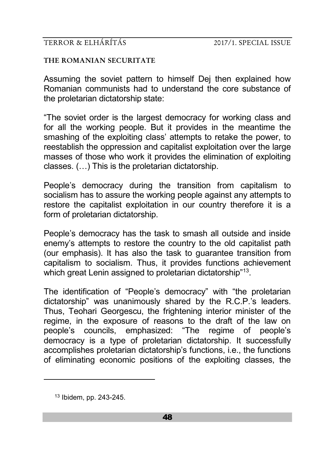#### **THE ROMANIAN SECURITATE**

Assuming the soviet pattern to himself Dej then explained how Romanian communists had to understand the core substance of the proletarian dictatorship state:

"The soviet order is the largest democracy for working class and for all the working people. But it provides in the meantime the smashing of the exploiting class' attempts to retake the power, to reestablish the oppression and capitalist exploitation over the large masses of those who work it provides the elimination of exploiting classes. (…) This is the proletarian dictatorship.

People's democracy during the transition from capitalism to socialism has to assure the working people against any attempts to restore the capitalist exploitation in our country therefore it is a form of proletarian dictatorship.

People's democracy has the task to smash all outside and inside enemy's attempts to restore the country to the old capitalist path (our emphasis). It has also the task to guarantee transition from capitalism to socialism. Thus, it provides functions achievement which great Lenin assigned to proletarian dictatorship"<sup>13</sup>.

The identification of "People's democracy" with "the proletarian dictatorship" was unanimously shared by the R.C.P.'s leaders. Thus, Teohari Georgescu, the frightening interior minister of the regime, in the exposure of reasons to the draft of the law on people's councils, emphasized: "The regime of people's people's councils, emphasized: "The democracy is a type of proletarian dictatorship. It successfully accomplishes proletarian dictatorship's functions, i.e., the functions of eliminating economic positions of the exploiting classes, the

<u>.</u>

<sup>13</sup> Ibidem, pp. 243-245.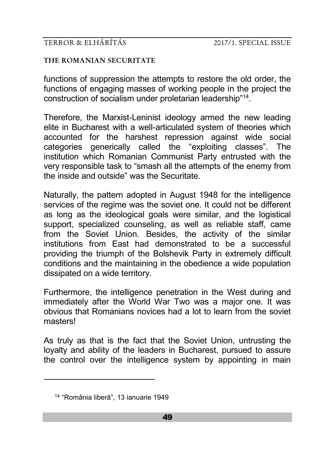#### **THE ROMANIAN SECURITATE**

functions of suppression the attempts to restore the old order, the functions of engaging masses of working people in the project the construction of socialism under proletarian leadership"<sup>14</sup> .

Therefore, the Marxist-Leninist ideology armed the new leading elite in Bucharest with a well-articulated system of theories which accounted for the harshest repression against wide social categories generically called the "exploiting classes". The institution which Romanian Communist Party entrusted with the very responsible task to "smash all the attempts of the enemy from the inside and outside" was the Securitate.

Naturally, the pattern adopted in August 1948 for the intelligence services of the regime was the soviet one. It could not be different as long as the ideological goals were similar, and the logistical support, specialized counseling, as well as reliable staff, came from the Soviet Union. Besides, the activity of the similar institutions from East had demonstrated to be a successful providing the triumph of the Bolshevik Party in extremely difficult conditions and the maintaining in the obedience a wide population dissipated on a wide territory.

Furthermore, the intelligence penetration in the West during and immediately after the World War Two was a major one. It was obvious that Romanians novices had a lot to learn from the soviet masters!

As truly as that is the fact that the Soviet Union, untrusting the loyalty and ability of the leaders in Bucharest, pursued to assure the control over the intelligence system by appointing in main

<u>.</u>

<sup>14</sup> "România liberă", 13 ianuarie 1949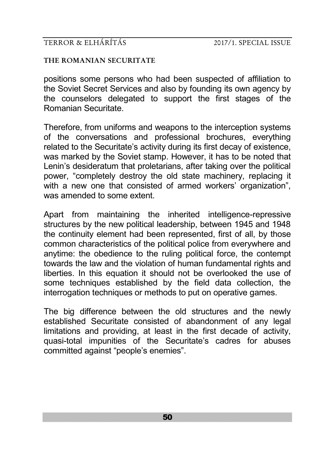**THE ROMANIAN SECURITATE**

positions some persons who had been suspected of affiliation to the Soviet Secret Services and also by founding its own agency by the counselors delegated to support the first stages of the Romanian Securitate.

Therefore, from uniforms and weapons to the interception systems of the conversations and professional brochures, everything related to the Securitate's activity during its first decay of existence, was marked by the Soviet stamp. However, it has to be noted that Lenin's desideratum that proletarians, after taking over the political power, "completely destroy the old state machinery, replacing it with a new one that consisted of armed workers' organization". was amended to some extent.

Apart from maintaining the inherited intelligence-repressive structures by the new political leadership, between 1945 and 1948 the continuity element had been represented, first of all, by those common characteristics of the political police from everywhere and anytime: the obedience to the ruling political force, the contempt towards the law and the violation of human fundamental rights and liberties. In this equation it should not be overlooked the use of some techniques established by the field data collection, the interrogation techniques or methods to put on operative games.

The big difference between the old structures and the newly established Securitate consisted of abandonment of any legal limitations and providing, at least in the first decade of activity, quasi-total impunities of the Securitate's cadres for abuses committed against "people's enemies".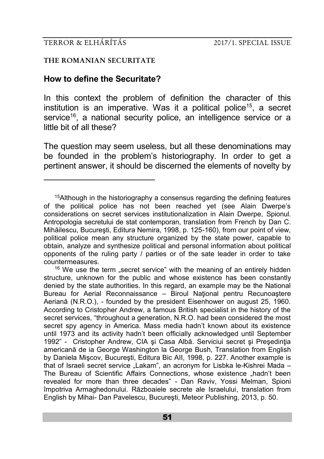-

#### **THE ROMANIAN SECURITATE**

### **How to define the Securitate?**

In this context the problem of definition the character of this institution is an imperative. Was it a political police<sup>15</sup>, a secret service<sup>16</sup>, a national security police, an intelligence service or a little bit of all these?

The question may seem useless, but all these denominations may be founded in the problem's historiography. In order to get a pertinent answer, it should be discerned the elements of novelty by

 $16$  We use the term "secret service" with the meaning of an entirely hidden structure, unknown for the public and whose existence has been constantly denied by the state authorities. In this regard, an example may be the National Bureau for Aerial Reconnaissance – Biroul Naţional pentru Recunoaştere Aeriană (N.R.O.), - founded by the president Eisenhower on august 25, 1960. According to Cristopher Andrew, a famous British specialist in the history of the secret services, "throughout a generation, N.R.O. had been considered the most secret spy agency in America. Mass media hadn't known about its existence until 1973 and its activity hadn't been officially acknowledged until September 1992" - Cristopher Andrew, CIA și Casa Albă. Serviciui secret și Președinția americană de ia George Washington la George Bush, Translation from English by Daniela Mişcov, Bucureşti, Editura Bic AII, 1998, p. 227. Another example is that of Israeli secret service "Lakam", an acronym for Lisbka le-Kishrei Mada – The Bureau of Scientific Affairs Connections, whose existence "hadn't been revealed for more than three decades" - Dan Raviv, Yossi Melman, Spioni împotriva Armaghedonului. Războaiele secrete ale Israelului, translation from English by Mihai- Dan Pavelescu, Bucureşti, Meteor Publishing, 2013, p. 50.

<sup>&</sup>lt;sup>15</sup> Although in the historiography a consensus regarding the defining features of the political police has not been reached yet (see Alain Dwerpe's considerations on secret services institutionalization in Alain Dwerpe, Spionul. Antropologia secretului de stat contemporan, translation from French by Dan C. Mihăilescu, Bucureşti, Editura Nemira, 1998, p. 125-160), from our point of view, political police mean any structure organized by the state power, capable to obtain, analyze and synthesize political and personal information about political opponents of the ruling party / parties or of the sate leader in order to take countermeasures.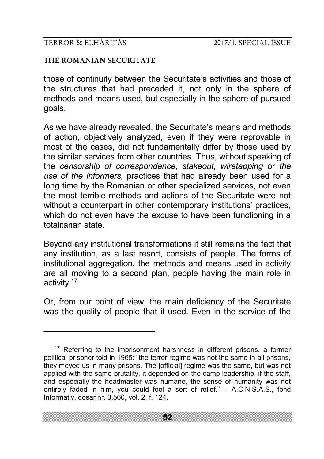-

#### **THE ROMANIAN SECURITATE**

those of continuity between the Securitate's activities and those of the structures that had preceded it, not only in the sphere of methods and means used, but especially in the sphere of pursued goals.

As we have already revealed, the Securitate's means and methods of action, objectively analyzed, even if they were reprovable in most of the cases, did not fundamentally differ by those used by the similar services from other countries. Thus, without speaking of the *censorship of correspondence, stakeout, wiretapping* or *the use of the informers,* practices that had already been used for a long time by the Romanian or other specialized services, not even the most terrible methods and actions of the Securitate were not without a counterpart in other contemporary institutions' practices, which do not even have the excuse to have been functioning in a totalitarian state.

Beyond any institutional transformations it still remains the fact that any institution, as a last resort, consists of people. The forms of institutional aggregation, the methods and means used in activity are all moving to a second plan, people having the main role in activity.<sup>17</sup>

Or, from our point of view, the main deficiency of the Securitate was the quality of people that it used. Even in the service of the

<sup>&</sup>lt;sup>17</sup> Referring to the imprisonment harshness in different prisons, a former political prisoner told in 1965:" the terror regime was not the same in all prisons, they moved us in many prisons. The [official] regime was the same, but was not applied with the same brutality, it depended on the camp leadership, if the staff, and especially the headmaster was humane, the sense of humanity was not entirely faded in him, you could feel a sort of relief." – A.C.N.S.A.S., fond Informativ, dosar nr. 3.560, vol. 2, f. 124.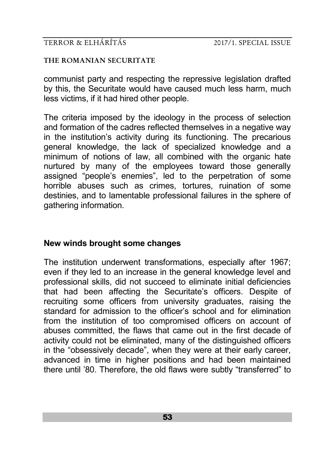#### **THE ROMANIAN SECURITATE**

communist party and respecting the repressive legislation drafted by this, the Securitate would have caused much less harm, much less victims, if it had hired other people.

The criteria imposed by the ideology in the process of selection and formation of the cadres reflected themselves in a negative way in the institution's activity during its functioning. The precarious general knowledge, the lack of specialized knowledge and a minimum of notions of law, all combined with the organic hate nurtured by many of the employees toward those generally assigned "people's enemies", led to the perpetration of some horrible abuses such as crimes, tortures, ruination of some destinies, and to lamentable professional failures in the sphere of gathering information.

# **New winds brought some changes**

The institution underwent transformations, especially after 1967; even if they led to an increase in the general knowledge level and professional skills, did not succeed to eliminate initial deficiencies that had been affecting the Securitate's officers. Despite of recruiting some officers from university graduates, raising the standard for admission to the officer's school and for elimination from the institution of too compromised officers on account of abuses committed, the flaws that came out in the first decade of activity could not be eliminated, many of the distinguished officers in the "obsessively decade", when they were at their early career, advanced in time in higher positions and had been maintained there until '80. Therefore, the old flaws were subtly "transferred" to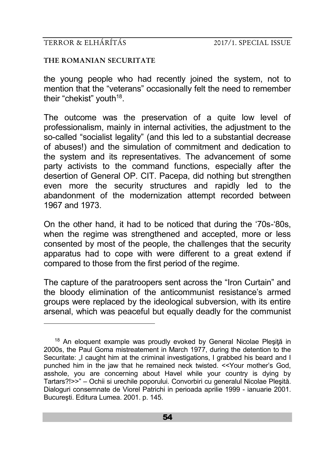<u>.</u>

#### **THE ROMANIAN SECURITATE**

the young people who had recently joined the system, not to mention that the "veterans" occasionally felt the need to remember their "chekist" youth<sup>18</sup>.

The outcome was the preservation of a quite low level of professionalism, mainly in internal activities, the adjustment to the so-called "socialist legality" (and this led to a substantial decrease of abuses!) and the simulation of commitment and dedication to the system and its representatives. The advancement of some party activists to the command functions, especially after the desertion of General OP. CIT. Pacepa, did nothing but strengthen even more the security structures and rapidly led to the abandonment of the modernization attempt recorded between 1967 and 1973.

On the other hand, it had to be noticed that during the '70s-'80s, when the regime was strengthened and accepted, more or less consented by most of the people, the challenges that the security apparatus had to cope with were different to a great extend if compared to those from the first period of the regime.

The capture of the paratroopers sent across the "Iron Curtain" and the bloody elimination of the anticommunist resistance's armed groups were replaced by the ideological subversion, with its entire arsenal, which was peaceful but equally deadly for the communist

<sup>&</sup>lt;sup>18</sup> An eloquent example was proudly evoked by General Nicolae Plesită in 2000s, the Paul Goma mistreatement in March 1977, during the detention to the Securitate: I caught him at the criminal investigations. I grabbed his beard and I punched him in the jaw that he remained neck twisted. <<Your mother's God, asshole, you are concerning about Havel while your country is dying by Tartars?!>>" – Ochii si urechile poporului. Convorbiri cu generalul Nicolae Pleşită. Dialoguri consemnate de Viorel Patrichi in perioada aprilie 1999 - ianuarie 2001. Bucureşti. Editura Lumea. 2001. p. 145.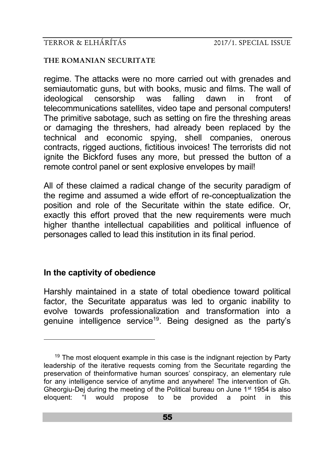### **THE ROMANIAN SECURITATE**

regime. The attacks were no more carried out with grenades and semiautomatic guns, but with books, music and films. The wall of ideological censorship was falling dawn in front of ideological censorship was falling dawn in front of telecommunications satellites, video tape and personal computers! The primitive sabotage, such as setting on fire the threshing areas or damaging the threshers, had already been replaced by the technical and economic spying, shell companies, onerous contracts, rigged auctions, fictitious invoices! The terrorists did not ignite the Bickford fuses any more, but pressed the button of a remote control panel or sent explosive envelopes by mail!

All of these claimed a radical change of the security paradigm of the regime and assumed a wide effort of re-conceptualization the position and role of the Securitate within the state edifice. Or, exactly this effort proved that the new requirements were much higher thanthe intellectual capabilities and political influence of personages called to lead this institution in its final period.

# **In the captivity of obedience**

<u>.</u>

Harshly maintained in a state of total obedience toward political factor, the Securitate apparatus was led to organic inability to evolve towards professionalization and transformation into a genuine intelligence service<sup>19</sup>. Being designed as the party's

 $19$  The most eloquent example in this case is the indignant rejection by Party leadership of the iterative requests coming from the Securitate regarding the preservation of theinformative human sources' conspiracy, an elementary rule for any intelligence service of anytime and anywhere! The intervention of Gh. Gheorgiu-Dej during the meeting of the Political bureau on June  $1<sup>st</sup>$  1954 is also eloquent: "I would propose to be provided a point in this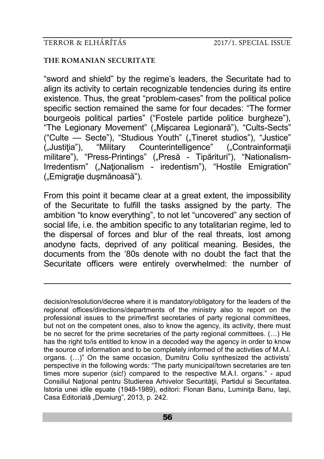-

#### **THE ROMANIAN SECURITATE**

"sword and shield" by the regime's leaders, the Securitate had to align its activity to certain recognizable tendencies during its entire existence. Thus, the great "problem-cases" from the political police specific section remained the same for four decades: "The former bourgeois political parties" ("Fostele partide politice burgheze"), "The Legionary Movement" ("Mișcarea Legionară"), "Cults-Sects" ("Culte — Secte"), "Studious Youth" ("Tineret studios"), "Justice" ("Justiția"), "Military Counterintelligence" ("Contrainformații militare"), "Press-Printings" ("Presă - Tipărituri"), "Nationalism-Irredentism" ("Naționalism - iredentism"), "Hostile Emigration" ("Emigratie dusmănoasă").

From this point it became clear at a great extent, the impossibility of the Securitate to fulfill the tasks assigned by the party. The ambition "to know everything", to not let "uncovered" any section of social life, i.e. the ambition specific to any totalitarian regime, led to the dispersal of forces and blur of the real threats, lost among anodyne facts, deprived of any political meaning. Besides, the documents from the '80s denote with no doubt the fact that the Securitate officers were entirely overwhelmed: the number of

decision/resolution/decree where it is mandatory/obligatory for the leaders of the regional offices/directions/departments of the ministry also to report on the professional issues to the prime/first secretaries of party regional committees, but not on the competent ones, also to know the agency, its activity, there must be no secret for the prime secretaries of the party regional committees. (…) He has the right to/is entitled to know in a decoded way the agency in order to know the source of information and to be completely informed of the activities of M.A.I. organs. (...)" On the same occasion, Dumitru Coliu synthesized the activists' perspective in the following words: "The party municipal/town secretaries are ten times more superior (sic!) compared to the respective M.A.I. organs." - apud Consiliul National pentru Studierea Arhivelor Securității, Partidul si Securitatea. Istoria unei idile eşuate (1948-1989), editori: Flonan Banu, Luminiţa Banu, Iaşi, Casa Editorială "Demiurg", 2013, p. 242.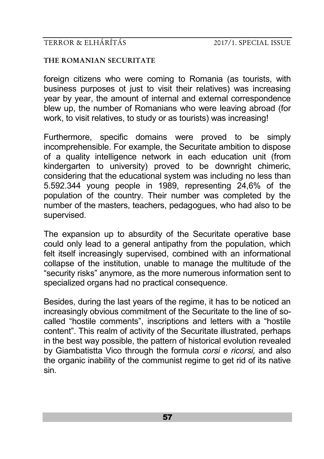#### **THE ROMANIAN SECURITATE**

foreign citizens who were coming to Romania (as tourists, with business purposes ot just to visit their relatives) was increasing year by year, the amount of internal and external correspondence blew up, the number of Romanians who were leaving abroad (for work, to visit relatives, to study or as tourists) was increasing!

Furthermore, specific domains were proved to be simply incomprehensible. For example, the Securitate ambition to dispose of a quality intelligence network in each education unit (from kindergarten to university) proved to be downright chimeric, considering that the educational system was including no less than 5.592.344 young people in 1989, representing 24,6% of the population of the country. Their number was completed by the number of the masters, teachers, pedagogues, who had also to be supervised.

The expansion up to absurdity of the Securitate operative base could only lead to a general antipathy from the population, which felt itself increasingly supervised, combined with an informational collapse of the institution, unable to manage the multitude of the "security risks" anymore, as the more numerous information sent to specialized organs had no practical consequence.

Besides, during the last years of the regime, it has to be noticed an increasingly obvious commitment of the Securitate to the line of socalled "hostile comments", inscriptions and letters with a "hostile content". This realm of activity of the Securitate illustrated, perhaps in the best way possible, the pattern of historical evolution revealed by Giambatistta Vico through the formula *corsi e ricorsi,* and also the organic inability of the communist regime to get rid of its native sin.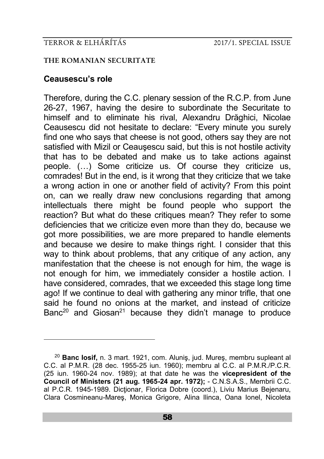#### **THE ROMANIAN SECURITATE**

# **Ceausescu's role**

<u>.</u>

Therefore, during the C.C. plenary session of the R.C.P. from June 26-27, 1967, having the desire to subordinate the Securitate to himself and to eliminate his rival, Alexandru Drăghici, Nicolae Ceausescu did not hesitate to declare: "Every minute you surely find one who says that cheese is not good, others say they are not satisfied with Mizil or Ceauşescu said, but this is not hostile activity that has to be debated and make us to take actions against people. (…) Some criticize us. Of course they criticize us, comrades! But in the end, is it wrong that they criticize that we take a wrong action in one or another field of activity? From this point on, can we really draw new conclusions regarding that among intellectuals there might be found people who support the reaction? But what do these critiques mean? They refer to some deficiencies that we criticize even more than they do, because we got more possibilities, we are more prepared to handle elements and because we desire to make things right. I consider that this way to think about problems, that any critique of any action, any manifestation that the cheese is not enough for him, the wage is not enough for him, we immediately consider a hostile action. I have considered, comrades, that we exceeded this stage long time ago! If we continue to deal with gathering any minor trifle, that one said he found no onions at the market, and instead of criticize Banc<sup>20</sup> and Giosan<sup>21</sup> because they didn't manage to produce

<sup>20</sup> **Banc Iosif,** n. 3 mart. 1921, com. Aluniş, jud. Mureş, membru supleant al C.C. al P.M.R. (28 dec. 1955-25 iun. 1960); membru al C.C. al P.M.R./P.C.R. (25 iun. 1960-24 nov. 1989); at that date he was the **vicepresident of the Council of Ministers (21 aug. 1965-24 apr. 1972);** - C.N.S.A.S., Membrii C.C. al P.C.R. 1945-1989. Dictionar, Florica Dobre (coord.), Liviu Marius Bejenaru, Clara Cosmineanu-Mareş, Monica Grigore, Alina Ilinca, Oana Ionel, Nicoleta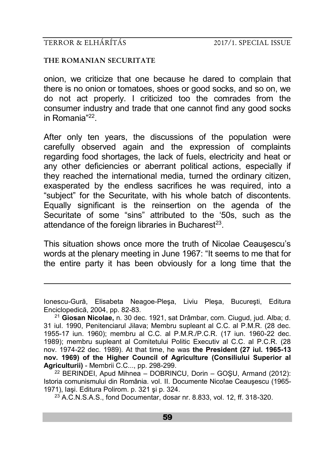-

#### **THE ROMANIAN SECURITATE**

onion, we criticize that one because he dared to complain that there is no onion or tomatoes, shoes or good socks, and so on, we do not act properly. I criticized too the comrades from the consumer industry and trade that one cannot find any good socks in Romania"<sup>22</sup> .

After only ten years, the discussions of the population were carefully observed again and the expression of complaints regarding food shortages, the lack of fuels, electricity and heat or any other deficiencies or aberrant political actions, especially if they reached the international media, turned the ordinary citizen, exasperated by the endless sacrifices he was required, into a "subject" for the Securitate, with his whole batch of discontents. Equally significant is the reinsertion on the agenda of the Securitate of some "sins" attributed to the '50s, such as the attendance of the foreign libraries in Bucharest<sup>23</sup>.

This situation shows once more the truth of Nicolae Ceauşescu's words at the plenary meeting in June 1967: "It seems to me that for the entire party it has been obviously for a long time that the

 $22$  BERINDEI, Apud Mihnea – DOBRINCU, Dorin – GOSU, Armand (2012); Istoria comunismului din România. vol. II. Documente Nico!ae Ceauşescu (1965- 1971), Iaşi. Editura Polirom. p. 321 şi p. 324.

<sup>23</sup> A.C.N.S.A.S., fond Documentar, dosar nr. 8.833, vol. 12, ff. 318-320.

Ionescu-Gură, Elisabeta Neagoe-Pleşa, Liviu Pleşa, Bucureşti, Editura Enciclopedică, 2004, pp. 82-83.

<sup>21</sup> **Giosan Nicolae,** n. 30 dec. 1921, sat Drâmbar, corn. Ciugud, jud. Alba; d. 31 iul. 1990, Penitenciarul Jilava; Membru supleant al C.C. al P.M.R. (28 dec. 1955-17 iun. 1960); membru al C.C. al P.M.R./P.C.R. (17 iun. 1960-22 dec. 1989); membru supleant al Comitetului Politic Executiv al C.C. al P.C.R. (28 nov. 1974-22 dec. 1989). At that time, he was **the President (27 iul. 1965-13 nov. 1969) of the Higher Council of Agriculture (Consiliului Superior al Agriculturii)** - Membrii C.C..., pp. 298-299.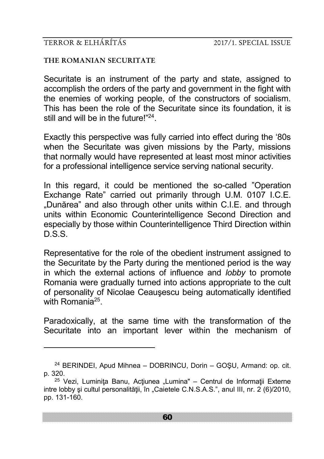-

#### **THE ROMANIAN SECURITATE**

Securitate is an instrument of the party and state, assigned to accomplish the orders of the party and government in the fight with the enemies of working people, of the constructors of socialism. This has been the role of the Securitate since its foundation, it is still and will be in the future!"<sup>24</sup>.

Exactly this perspective was fully carried into effect during the '80s when the Securitate was given missions by the Party, missions that normally would have represented at least most minor activities for a professional intelligence service serving national security.

In this regard, it could be mentioned the so-called "Operation Exchange Rate" carried out primarily through U.M. 0107 I.C.E. "Dunărea" and also through other units within C.I.E. and through units within Economic Counterintelligence Second Direction and especially by those within Counterintelligence Third Direction within D.S.S.

Representative for the role of the obedient instrument assigned to the Securitate by the Party during the mentioned period is the way in which the external actions of influence and *lobby* to promote Romania were gradually turned into actions appropriate to the cult of personality of Nicolae Ceauşescu being automatically identified with Romania<sup>25</sup>.

Paradoxically, at the same time with the transformation of the Securitate into an important lever within the mechanism of

<sup>24</sup> BERINDEI, Apud Mihnea – DOBRINCU, Dorin – GOŞU, Armand: op. cit. p. 320.

<sup>&</sup>lt;sup>25</sup> Vezi, Luminita Banu, Actiunea "Lumina" – Centrul de Informații Externe intre lobby și cultul personalității, în "Caietele C.N.S.A.S.", anul III, nr. 2 (6)/2010, pp. 131-160.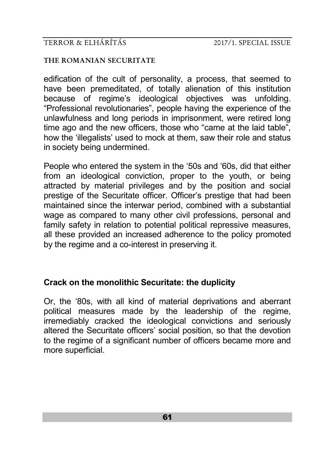#### **THE ROMANIAN SECURITATE**

edification of the cult of personality, a process, that seemed to have been premeditated, of totally alienation of this institution because of regime's ideological objectives was unfolding. "Professional revolutionaries", people having the experience of the unlawfulness and long periods in imprisonment, were retired long time ago and the new officers, those who "came at the laid table", how the 'illegalists' used to mock at them, saw their role and status in society being undermined.

People who entered the system in the '50s and '60s, did that either from an ideological conviction, proper to the youth, or being attracted by material privileges and by the position and social prestige of the Securitate officer. Officer's prestige that had been maintained since the interwar period, combined with a substantial wage as compared to many other civil professions, personal and family safety in relation to potential political repressive measures, all these provided an increased adherence to the policy promoted by the regime and a co-interest in preserving it.

### **Crack on the monolithic Securitate: the duplicity**

Or, the '80s, with all kind of material deprivations and aberrant political measures made by the leadership of the regime, irremediably cracked the ideological convictions and seriously altered the Securitate officers' social position, so that the devotion to the regime of a significant number of officers became more and more superficial.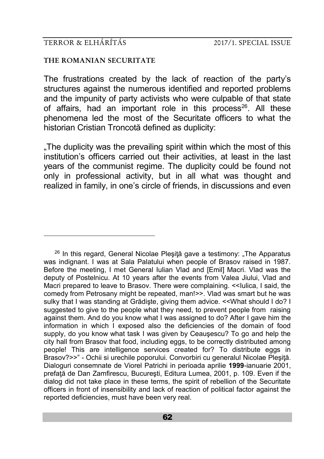-

#### **THE ROMANIAN SECURITATE**

The frustrations created by the lack of reaction of the party's structures against the numerous identified and reported problems and the impunity of party activists who were culpable of that state of affairs, had an important role in this process<sup>26</sup>. All these phenomena led the most of the Securitate officers to what the historian Cristian Troncotă defined as duplicity:

.The duplicity was the prevailing spirit within which the most of this institution's officers carried out their activities, at least in the last years of the communist regime. The duplicity could be found not only in professional activity, but in all what was thought and realized in family, in one's circle of friends, in discussions and even

<sup>&</sup>lt;sup>26</sup> In this regard, General Nicolae Plesită gave a testimony: "The Apparatus was indignant. I was at Sala Palatului when people of Brasov raised in 1987. Before the meeting, I met General Iulian Vlad and [Emil] Macri. Vlad was the deputy of Postelnicu. At 10 years after the events from Valea Jiului, Vlad and Macri prepared to leave to Brasov. There were complaining. << lulica, I said, the comedy from Petrosany might be repeated, man!>>. Vlad was smart but he was sulky that I was standing at Grădişte, giving them advice. <<What should I do? I suggested to give to the people what they need, to prevent people from raising against them. And do you know what I was assigned to do? After I gave him the information in which I exposed also the deficiencies of the domain of food supply, do you know what task I was given by Ceausescu? To go and help the city hall from Brasov that food, including eggs, to be correctly distributed among people! This are intelligence services created for? To distribute eggs in Brasov?>>" - Ochii si urechile poporului. Convorbiri cu generalul Nicolae Pleşiţă. Dialoguri consemnate de Viorel Patrichi in perioada aprilie **1999**-ianuarie 2001, prefață de Dan Zamfirescu, București, Editura Lumea, 2001, p. 109. Even if the dialog did not take place in these terms, the spirit of rebellion of the Securitate officers in front of insensibility and lack of reaction of political factor against the reported deficiencies, must have been very real.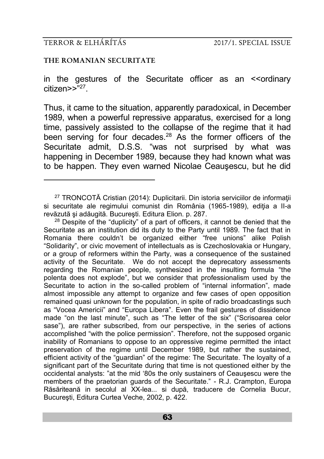-

#### **THE ROMANIAN SECURITATE**

in the gestures of the Securitate officer as an <<ordinary citizen>>"<sup>27</sup> .

Thus, it came to the situation, apparently paradoxical, in December 1989, when a powerful repressive apparatus, exercised for a long time, passively assisted to the collapse of the regime that it had been serving for four decades.<sup>28</sup> As the former officers of the Securitate admit, D.S.S. "was not surprised by what was happening in December 1989, because they had known what was to be happen. They even warned Nicolae Ceauşescu, but he did

<sup>27</sup> TRONCOTĂ Cristian (2014): Duplicitarii. Din istoria serviciilor de informaţii si securitate ale regimului comunist din România (1965-1989), editia a II-a revăzută şi adăugită. Bucureşti. Editura Elion. p. 287.

 $28$  Despite of the "duplicity" of a part of officers, it cannot be denied that the Securitate as an institution did its duty to the Party until 1989. The fact that in Romania there couldn't be organized either "free unions" alike Polish "Solidarity", or civic movement of intellectuals as is Czechoslovakia or Hungary, or a group of reformers within the Party, was a consequence of the sustained activity of the Securitate. We do not accept the deprecatory assessments regarding the Romanian people, synthesized in the insulting formula "the polenta does not explode", but we consider that professionalism used by the Securitate to action in the so-called problem of "internal information", made almost impossible any attempt to organize and few cases of open opposition remained quasi unknown for the population, in spite of radio broadcastings such as "Vocea Americii" and "Europa Libera". Even the frail gestures of dissidence made "on the last minute", such as "The letter of the six" ("Scrisoarea celor sase"), are rather subscribed, from our perspective, in the series of actions accomplished "with the police permission". Therefore, not the supposed organic inability of Romanians to oppose to an oppressive regime permitted the intact preservation of the regime until December 1989, but rather the sustained, efficient activity of the "guardian" of the regime: The Securitate. The loyalty of a significant part of the Securitate during that time is not questioned either by the occidental analysts: "at the mid '80s the only sustainers of Ceauşescu were the members of the praetorian guards of the Securitate." - R.J. Crampton, Europa Răsăriteană in secolul al XX-lea... si după, traducere de Cornelia Bucur, Bucureşti, Editura Curtea Veche, 2002, p. 422.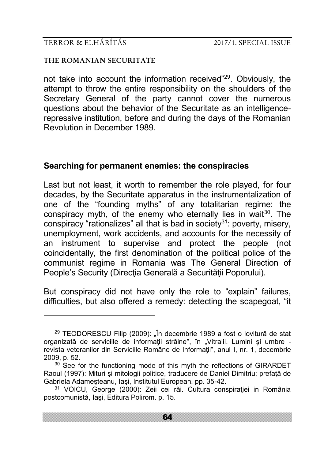<u>.</u>

#### **THE ROMANIAN SECURITATE**

not take into account the information received"<sup>29</sup>. Obviously, the attempt to throw the entire responsibility on the shoulders of the Secretary General of the party cannot cover the numerous questions about the behavior of the Securitate as an intelligencerepressive institution, before and during the days of the Romanian Revolution in December 1989.

### **Searching for permanent enemies: the conspiracies**

Last but not least, it worth to remember the role played, for four decades, by the Securitate apparatus in the instrumentalization of one of the "founding myths" of any totalitarian regime: the conspiracy myth, of the enemy who eternally lies in wait<sup>30</sup>. The conspiracy "rationalizes" all that is bad in society $31$ : poverty, misery, unemployment, work accidents, and accounts for the necessity of an instrument to supervise and protect the people (not coincidentally, the first denomination of the political police of the communist regime in Romania was The General Direction of People's Security (Direcția Generală a Securității Poporului).

But conspiracy did not have only the role to "explain" failures, difficulties, but also offered a remedy: detecting the scapegoat, "it

<sup>&</sup>lt;sup>29</sup> TEODORESCU Filip (2009): "În decembrie 1989 a fost o lovitură de stat organizată de serviciile de informații străine", în "Vitralii. Lumini și umbre revista veteranilor din Serviciile Române de Informaţii", anul I, nr. 1, decembrie 2009, p. 52.

 $30$  See for the functioning mode of this myth the reflections of GIRARDET Raoul (1997): Mituri și mitologii politice, traducere de Daniel Dimitriu; prefață de Gabriela Adameşteanu, Iaşi, Institutul European. pp. 35-42.

<sup>&</sup>lt;sup>31</sup> VOICU, George (2000): Zeii cei răi. Cultura conspirației in România postcomunistă, Iaşi, Editura Polirom. p. 15.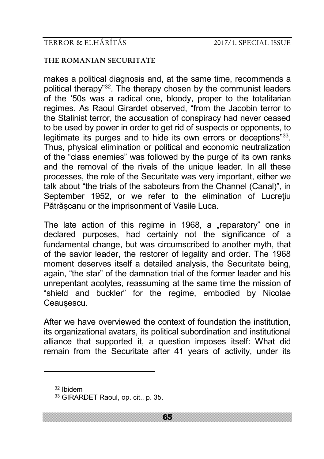#### **THE ROMANIAN SECURITATE**

makes a political diagnosis and, at the same time, recommends a political therapy"<sup>32</sup>. The therapy chosen by the communist leaders of the '50s was a radical one, bloody, proper to the totalitarian regimes. As Raoul Girardet observed, "from the Jacobin terror to the Stalinist terror, the accusation of conspiracy had never ceased to be used by power in order to get rid of suspects or opponents, to legitimate its purges and to hide its own errors or deceptions"<sup>33</sup>. Thus, physical elimination or political and economic neutralization of the "class enemies" was followed by the purge of its own ranks and the removal of the rivals of the unique leader. In all these processes, the role of the Securitate was very important, either we talk about "the trials of the saboteurs from the Channel (Canal)", in September 1952, or we refer to the elimination of Lucrețiu Pătrăşcanu or the imprisonment of Vasile Luca.

The late action of this regime in 1968, a "reparatory" one in declared purposes, had certainly not the significance of a fundamental change, but was circumscribed to another myth, that of the savior leader, the restorer of legality and order. The 1968 moment deserves itself a detailed analysis, the Securitate being, again, "the star" of the damnation trial of the former leader and his unrepentant acolytes, reassuming at the same time the mission of "shield and buckler" for the regime, embodied by Nicolae Ceauşescu.

After we have overviewed the context of foundation the institution, its organizational avatars, its political subordination and institutional alliance that supported it, a question imposes itself: What did remain from the Securitate after 41 years of activity, under its

-

<sup>32</sup> Ibidem

<sup>33</sup> GIRARDET Raoul, op. cit., p. 35.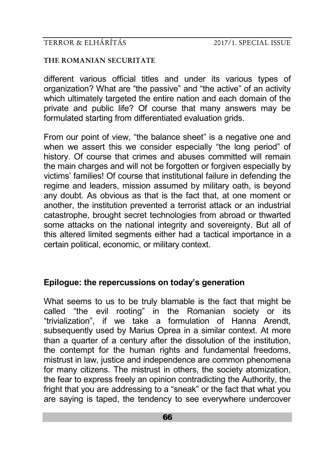#### **THE ROMANIAN SECURITATE**

different various official titles and under its various types of organization? What are "the passive" and "the active" of an activity which ultimately targeted the entire nation and each domain of the private and public life? Of course that many answers may be formulated starting from differentiated evaluation grids.

From our point of view, "the balance sheet" is a negative one and when we assert this we consider especially "the long period" of history. Of course that crimes and abuses committed will remain the main charges and will not be forgotten or forgiven especially by victims' families! Of course that institutional failure in defending the regime and leaders, mission assumed by military oath, is beyond any doubt. As obvious as that is the fact that, at one moment or another, the institution prevented a terrorist attack or an industrial catastrophe, brought secret technologies from abroad or thwarted some attacks on the national integrity and sovereignty. But all of this altered limited segments either had a tactical importance in a certain political, economic, or military context.

## **Epilogue: the repercussions on today's generation**

What seems to us to be truly blamable is the fact that might be called "the evil rooting" in the Romanian society or its "trivialization", if we take a formulation of Hanna Arendt, subsequently used by Marius Oprea in a similar context. At more than a quarter of a century after the dissolution of the institution, the contempt for the human rights and fundamental freedoms, mistrust in law, justice and independence are common phenomena for many citizens. The mistrust in others, the society atomization, the fear to express freely an opinion contradicting the Authority, the fright that you are addressing to a "sneak" or the fact that what you are saying is taped, the tendency to see everywhere undercover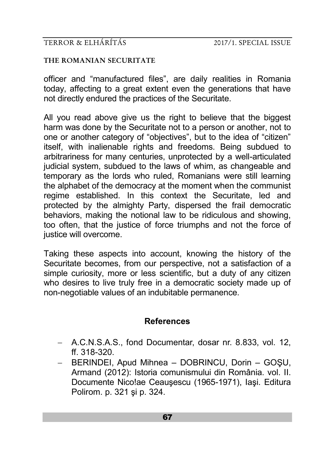#### **THE ROMANIAN SECURITATE**

officer and "manufactured files", are daily realities in Romania today, affecting to a great extent even the generations that have not directly endured the practices of the Securitate.

All you read above give us the right to believe that the biggest harm was done by the Securitate not to a person or another, not to one or another category of "objectives", but to the idea of "citizen" itself, with inalienable rights and freedoms. Being subdued to arbitrariness for many centuries, unprotected by a well-articulated judicial system, subdued to the laws of whim, as changeable and temporary as the lords who ruled, Romanians were still learning the alphabet of the democracy at the moment when the communist regime established. In this context the Securitate, led and protected by the almighty Party, dispersed the frail democratic behaviors, making the notional law to be ridiculous and showing, too often, that the justice of force triumphs and not the force of justice will overcome.

Taking these aspects into account, knowing the history of the Securitate becomes, from our perspective, not a satisfaction of a simple curiosity, more or less scientific, but a duty of any citizen who desires to live truly free in a democratic society made up of non-negotiable values of an indubitable permanence.

# **References**

- A.C.N.S.A.S., fond Documentar, dosar nr. 8.833, vol. 12, ff. 318-320.
- BERINDEI, Apud Mihnea DOBRINCU, Dorin GOŞU, Armand (2012): Istoria comunismului din România. vol. II. Documente Nico!ae Ceauşescu (1965-1971), Iaşi. Editura Polirom. p. 321 şi p. 324.